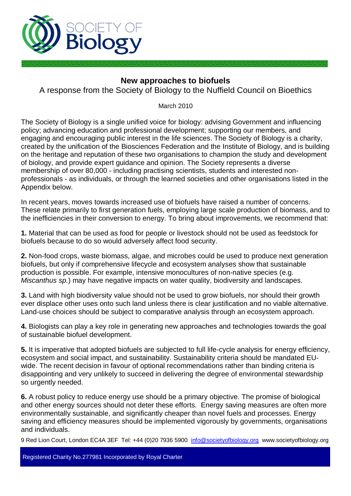

# **New approaches to biofuels**

A response from the Society of Biology to the Nuffield Council on Bioethics

March 2010

The Society of Biology is a single unified voice for biology: advising Government and influencing policy; advancing education and professional development; supporting our members, and engaging and encouraging public interest in the life sciences. The Society of Biology is a charity, created by the unification of the Biosciences Federation and the Institute of Biology, and is building on the heritage and reputation of these two organisations to champion the study and development of biology, and provide expert guidance and opinion. The Society represents a diverse membership of over 80,000 - including practising scientists, students and interested nonprofessionals - as individuals, or through the learned societies and other organisations listed in the Appendix below.

In recent years, moves towards increased use of biofuels have raised a number of concerns. These relate primarily to first generation fuels, employing large scale production of biomass, and to the inefficiencies in their conversion to energy. To bring about improvements, we recommend that:

**1.** Material that can be used as food for people or livestock should not be used as feedstock for biofuels because to do so would adversely affect food security.

**2.** Non-food crops, waste biomass, algae, and microbes could be used to produce next generation biofuels, but only if comprehensive lifecycle and ecosystem analyses show that sustainable production is possible. For example, intensive monocultures of non-native species (e.g. *Miscanthus sp.*) may have negative impacts on water quality, biodiversity and landscapes.

**3.** Land with high biodiversity value should not be used to grow biofuels, nor should their growth ever displace other uses onto such land unless there is clear justification and no viable alternative. Land-use choices should be subject to comparative analysis through an ecosystem approach.

**4.** Biologists can play a key role in generating new approaches and technologies towards the goal of sustainable biofuel development.

**5.** It is imperative that adopted biofuels are subjected to full life-cycle analysis for energy efficiency, ecosystem and social impact, and sustainability. Sustainability criteria should be mandated EUwide. The recent decision in favour of optional recommendations rather than binding criteria is disappointing and very unlikely to succeed in delivering the degree of environmental stewardship so urgently needed.

**6.** A robust policy to reduce energy use should be a primary objective. The promise of biological and other energy sources should not deter these efforts. Energy saving measures are often more environmentally sustainable, and significantly cheaper than novel fuels and processes. Energy saving and efficiency measures should be implemented vigorously by governments, organisations and individuals.

9 Red Lion Court, London EC4A 3EF Tel: +44 (0)20 7936 5900 info@societyofbiology.org www.societyofbiology.org

Registered Charity No.277981 Incorporated by Royal Charter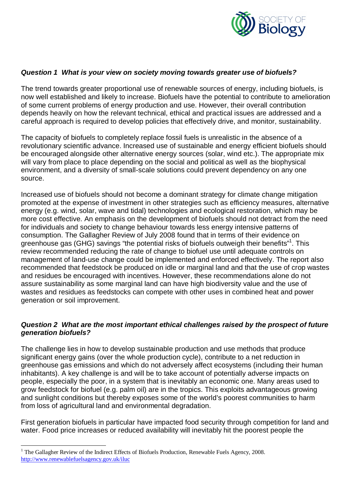

#### *Question 1 What is your view on society moving towards greater use of biofuels?*

The trend towards greater proportional use of renewable sources of energy, including biofuels, is now well established and likely to increase. Biofuels have the potential to contribute to amelioration of some current problems of energy production and use. However, their overall contribution depends heavily on how the relevant technical, ethical and practical issues are addressed and a careful approach is required to develop policies that effectively drive, and monitor, sustainability.

The capacity of biofuels to completely replace fossil fuels is unrealistic in the absence of a revolutionary scientific advance. Increased use of sustainable and energy efficient biofuels should be encouraged alongside other alternative energy sources (solar, wind etc.). The appropriate mix will vary from place to place depending on the social and political as well as the biophysical environment, and a diversity of small-scale solutions could prevent dependency on any one source.

Increased use of biofuels should not become a dominant strategy for climate change mitigation promoted at the expense of investment in other strategies such as efficiency measures, alternative energy (e.g. wind, solar, wave and tidal) technologies and ecological restoration, which may be more cost effective. An emphasis on the development of biofuels should not detract from the need for individuals and society to change behaviour towards less energy intensive patterns of consumption. The Gallagher Review of July 2008 found that in terms of their evidence on greenhouse gas (GHG) savings "the potential risks of biofuels outweigh their benefits"<sup>1</sup>. This review recommended reducing the rate of change to biofuel use until adequate controls on management of land-use change could be implemented and enforced effectively. The report also recommended that feedstock be produced on idle or marginal land and that the use of crop wastes and residues be encouraged with incentives. However, these recommendations alone do not assure sustainability as some marginal land can have high biodiversity value and the use of wastes and residues as feedstocks can compete with other uses in combined heat and power generation or soil improvement.

# *Question 2 What are the most important ethical challenges raised by the prospect of future generation biofuels?*

The challenge lies in how to develop sustainable production and use methods that produce significant energy gains (over the whole production cycle), contribute to a net reduction in greenhouse gas emissions and which do not adversely affect ecosystems (including their human inhabitants). A key challenge is and will be to take account of potentially adverse impacts on people, especially the poor, in a system that is inevitably an economic one. Many areas used to grow feedstock for biofuel (e.g. palm oil) are in the tropics. This exploits advantageous growing and sunlight conditions but thereby exposes some of the world's poorest communities to harm from loss of agricultural land and environmental degradation.

First generation biofuels in particular have impacted food security through competition for land and water. Food price increases or reduced availability will inevitably hit the poorest people the

<sup>&</sup>lt;sup>1</sup> The Gallagher Review of the Indirect Effects of Biofuels Production, Renewable Fuels Agency, 2008. http://www.renewablefuelsagency.gov.uk/iluc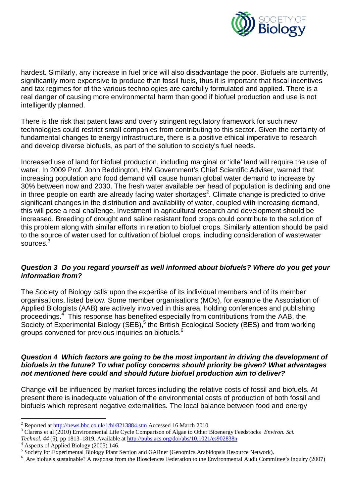

hardest. Similarly, any increase in fuel price will also disadvantage the poor. Biofuels are currently, significantly more expensive to produce than fossil fuels, thus it is important that fiscal incentives and tax regimes for of the various technologies are carefully formulated and applied. There is a real danger of causing more environmental harm than good if biofuel production and use is not intelligently planned.

There is the risk that patent laws and overly stringent regulatory framework for such new technologies could restrict small companies from contributing to this sector. Given the certainty of fundamental changes to energy infrastructure, there is a positive ethical imperative to research and develop diverse biofuels, as part of the solution to society's fuel needs.

Increased use of land for biofuel production, including marginal or 'idle' land will require the use of water. In 2009 Prof. John Beddington, HM Government's Chief Scientific Adviser, warned that increasing population and food demand will cause human global water demand to increase by 30% between now and 2030. The fresh water available per head of population is declining and one in three people on earth are already facing water shortages<sup>2</sup>. Climate change is predicted to drive significant changes in the distribution and availability of water, coupled with increasing demand, this will pose a real challenge. Investment in agricultural research and development should be increased. Breeding of drought and saline resistant food crops could contribute to the solution of this problem along with similar efforts in relation to biofuel crops. Similarly attention should be paid to the source of water used for cultivation of biofuel crops, including consideration of wastewater sources.<sup>3</sup>

# *Question 3 Do you regard yourself as well informed about biofuels? Where do you get your information from?*

The Society of Biology calls upon the expertise of its individual members and of its member organisations, listed below. Some member organisations (MOs), for example the Association of Applied Biologists (AAB) are actively involved in this area, holding conferences and publishing proceedings.<sup>4</sup> This response has benefited especially from contributions from the AAB, the Society of Experimental Biology (SEB),<sup>5</sup> the British Ecological Society (BES) and from working groups convened for previous inquiries on biofuels.<sup>6</sup>

### *Question 4 Which factors are going to be the most important in driving the development of biofuels in the future? To what policy concerns should priority be given? What advantages not mentioned here could and should future biofuel production aim to deliver?*

Change will be influenced by market forces including the relative costs of fossil and biofuels. At present there is inadequate valuation of the environmental costs of production of both fossil and biofuels which represent negative externalities. The local balance between food and energy

Aspects of Applied Biology (2005) 146.

 $\frac{1}{2}$ Reported at http://news.bbc.co.uk/1/hi/8213884.stm Accessed 16 March 2010

<sup>3</sup> Clarens et al (2010) Environmental Life Cycle Comparison of Algae to Other Bioenergy Feedstocks *Environ. Sci.* 

*Technol.* 44 (5), pp 1813–1819. Available at <u>http://pubs.acs.org/doi/abs/10.1021/es902838n</u><br><sup>4</sup> Aspects of Applied Biology (2005) 146

<sup>5</sup> Society for Experimental Biology Plant Section and GARnet (Genomics Arabidopsis Resource Network).

<sup>6</sup> Are biofuels sustainable? A response from the Biosciences Federation to the Environmental Audit Committee's inquiry (2007)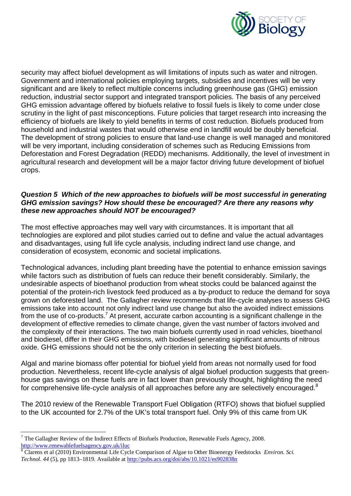

security may affect biofuel development as will limitations of inputs such as water and nitrogen. Government and international policies employing targets, subsidies and incentives will be very significant and are likely to reflect multiple concerns including greenhouse gas (GHG) emission reduction, industrial sector support and integrated transport policies. The basis of any perceived GHG emission advantage offered by biofuels relative to fossil fuels is likely to come under close scrutiny in the light of past misconceptions. Future policies that target research into increasing the efficiency of biofuels are likely to yield benefits in terms of cost reduction. Biofuels produced from household and industrial wastes that would otherwise end in landfill would be doubly beneficial. The development of strong policies to ensure that land-use change is well managed and monitored will be very important, including consideration of schemes such as Reducing Emissions from Deforestation and Forest Degradation (REDD) mechanisms. Additionally, the level of investment in agricultural research and development will be a major factor driving future development of biofuel crops.

# *Question 5 Which of the new approaches to biofuels will be most successful in generating GHG emission savings? How should these be encouraged? Are there any reasons why these new approaches should NOT be encouraged?*

The most effective approaches may well vary with circumstances. It is important that all technologies are explored and pilot studies carried out to define and value the actual advantages and disadvantages, using full life cycle analysis, including indirect land use change, and consideration of ecosystem, economic and societal implications.

Technological advances, including plant breeding have the potential to enhance emission savings while factors such as distribution of fuels can reduce their benefit considerably. Similarly, the undesirable aspects of bioethanol production from wheat stocks could be balanced against the potential of the protein-rich livestock feed produced as a by-product to reduce the demand for soya grown on deforested land. The Gallagher review recommends that life-cycle analyses to assess GHG emissions take into account not only indirect land use change but also the avoided indirect emissions from the use of co-products.<sup>7</sup> At present, accurate carbon accounting is a significant challenge in the development of effective remedies to climate change, given the vast number of factors involved and the complexity of their interactions. The two main biofuels currently used in road vehicles, bioethanol and biodiesel, differ in their GHG emissions, with biodiesel generating significant amounts of nitrous oxide. GHG emissions should not be the only criterion in selecting the best biofuels.

Algal and marine biomass offer potential for biofuel yield from areas not normally used for food production. Nevertheless, recent life-cycle analysis of algal biofuel production suggests that greenhouse gas savings on these fuels are in fact lower than previously thought, highlighting the need for comprehensive life-cycle analysis of all approaches before any are selectively encouraged.<sup>8</sup>

The 2010 review of the Renewable Transport Fuel Obligation (RTFO) shows that biofuel supplied to the UK accounted for 2.7% of the UK's total transport fuel. Only 9% of this came from UK

 $\overline{a}$  $<sup>7</sup>$  The Gallagher Review of the Indirect Effects of Biofuels Production, Renewable Fuels Agency, 2008.</sup> http://www.renewablefuelsagency.gov.uk/iluc

<sup>8</sup> Clarens et al (2010) Environmental Life Cycle Comparison of Algae to Other Bioenergy Feedstocks *Environ. Sci. Technol. 44* (5), pp 1813–1819. Available at http://pubs.acs.org/doi/abs/10.1021/es902838n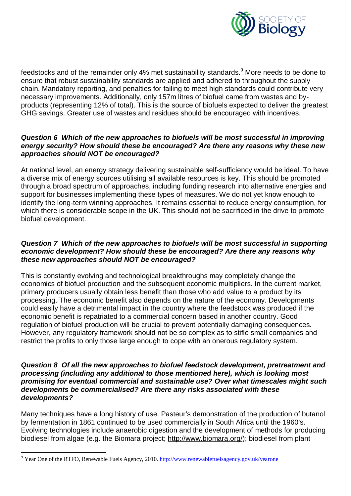

feedstocks and of the remainder only 4% met sustainability standards.<sup>9</sup> More needs to be done to ensure that robust sustainability standards are applied and adhered to throughout the supply chain. Mandatory reporting, and penalties for failing to meet high standards could contribute very necessary improvements. Additionally, only 157m litres of biofuel came from wastes and byproducts (representing 12% of total). This is the source of biofuels expected to deliver the greatest GHG savings. Greater use of wastes and residues should be encouraged with incentives.

### *Question 6 Which of the new approaches to biofuels will be most successful in improving energy security? How should these be encouraged? Are there any reasons why these new approaches should NOT be encouraged?*

At national level, an energy strategy delivering sustainable self-sufficiency would be ideal. To have a diverse mix of energy sources utilising all available resources is key. This should be promoted through a broad spectrum of approaches, including funding research into alternative energies and support for businesses implementing these types of measures. We do not yet know enough to identify the long-term winning approaches. It remains essential to reduce energy consumption, for which there is considerable scope in the UK. This should not be sacrificed in the drive to promote biofuel development.

# *Question 7 Which of the new approaches to biofuels will be most successful in supporting economic development? How should these be encouraged? Are there any reasons why these new approaches should NOT be encouraged?*

This is constantly evolving and technological breakthroughs may completely change the economics of biofuel production and the subsequent economic multipliers. In the current market, primary producers usually obtain less benefit than those who add value to a product by its processing. The economic benefit also depends on the nature of the economy. Developments could easily have a detrimental impact in the country where the feedstock was produced if the economic benefit is repatriated to a commercial concern based in another country. Good regulation of biofuel production will be crucial to prevent potentially damaging consequences. However, any regulatory framework should not be so complex as to stifle small companies and restrict the profits to only those large enough to cope with an onerous regulatory system.

#### *Question 8 Of all the new approaches to biofuel feedstock development, pretreatment and processing (including any additional to those mentioned here), which is looking most promising for eventual commercial and sustainable use? Over what timescales might such developments be commercialised? Are there any risks associated with these developments?*

Many techniques have a long history of use. Pasteur's demonstration of the production of butanol by fermentation in 1861 continued to be used commercially in South Africa until the 1960's. Evolving technologies include anaerobic digestion and the development of methods for producing biodiesel from algae (e.g. the Biomara project; http://www.biomara.org/); biodiesel from plant

<sup>9&</sup>lt;br>Pear One of the RTFO, Renewable Fuels Agency, 2010. http://www.renewablefuelsagency.gov.uk/yearone</a>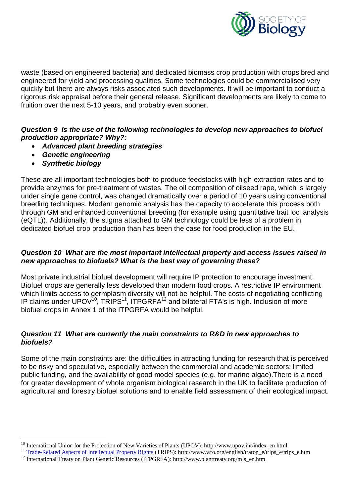

waste (based on engineered bacteria) and dedicated biomass crop production with crops bred and engineered for yield and processing qualities. Some technologies could be commercialised very quickly but there are always risks associated such developments. It will be important to conduct a rigorous risk appraisal before their general release. Significant developments are likely to come to fruition over the next 5-10 years, and probably even sooner.

# *Question 9 Is the use of the following technologies to develop new approaches to biofuel production appropriate? Why?:*

- *Advanced plant breeding strategies*
- *Genetic engineering*
- *Synthetic biology*

These are all important technologies both to produce feedstocks with high extraction rates and to provide enzymes for pre-treatment of wastes. The oil composition of oilseed rape, which is largely under single gene control, was changed dramatically over a period of 10 years using conventional breeding techniques. Modern genomic analysis has the capacity to accelerate this process both through GM and enhanced conventional breeding (for example using quantitative trait loci analysis (eQTL)). Additionally, the stigma attached to GM technology could be less of a problem in dedicated biofuel crop production than has been the case for food production in the EU.

# *Question 10 What are the most important intellectual property and access issues raised in new approaches to biofuels? What is the best way of governing these?*

Most private industrial biofuel development will require IP protection to encourage investment. Biofuel crops are generally less developed than modern food crops. A restrictive IP environment which limits access to germplasm diversity will not be helpful. The costs of negotiating conflicting IP claims under UPOV<sup>10</sup>, TRIPS<sup>11</sup>, ITPGRFA<sup>12</sup> and bilateral FTA's is high. Inclusion of more biofuel crops in Annex 1 of the ITPGRFA would be helpful.

# *Question 11 What are currently the main constraints to R&D in new approaches to biofuels?*

Some of the main constraints are: the difficulties in attracting funding for research that is perceived to be risky and speculative, especially between the commercial and academic sectors; limited public funding, and the availability of good model species (e.g. for marine algae).There is a need for greater development of whole organism biological research in the UK to facilitate production of agricultural and forestry biofuel solutions and to enable field assessment of their ecological impact.

 $\overline{a}$ <sup>10</sup> International Union for the Protection of New Varieties of Plants (UPOV): http://www.upov.int/index\_en.html

<sup>11</sup> Trade-Related Aspects of Intellectual Property Rights (TRIPS): http://www.wto.org/english/tratop\_e/trips\_e/trips\_e.htm

<sup>&</sup>lt;sup>12</sup> International Treaty on Plant Genetic Resources (ITPGRFA): http://www.planttreaty.org/mls\_en.htm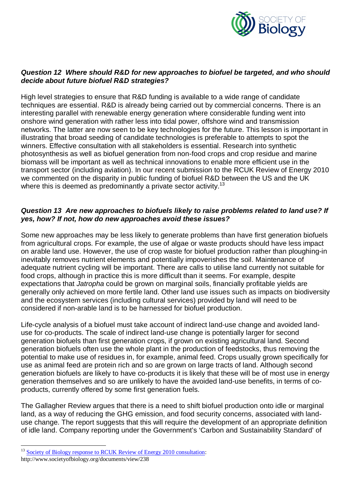

# *Question 12 Where should R&D for new approaches to biofuel be targeted, and who should decide about future biofuel R&D strategies?*

High level strategies to ensure that R&D funding is available to a wide range of candidate techniques are essential. R&D is already being carried out by commercial concerns. There is an interesting parallel with renewable energy generation where considerable funding went into onshore wind generation with rather less into tidal power, offshore wind and transmission networks. The latter are now seen to be key technologies for the future. This lesson is important in illustrating that broad seeding of candidate technologies is preferable to attempts to spot the winners. Effective consultation with all stakeholders is essential. Research into synthetic photosynthesis as well as biofuel generation from non-food crops and crop residue and marine biomass will be important as well as technical innovations to enable more efficient use in the transport sector (including aviation). In our recent submission to the RCUK Review of Energy 2010 we commented on the disparity in public funding of biofuel R&D between the US and the UK where this is deemed as predominantly a private sector activity.<sup>13</sup>

# *Question 13 Are new approaches to biofuels likely to raise problems related to land use? If yes, how? If not, how do new approaches avoid these issues?*

Some new approaches may be less likely to generate problems than have first generation biofuels from agricultural crops. For example, the use of algae or waste products should have less impact on arable land use. However, the use of crop waste for biofuel production rather than ploughing-in inevitably removes nutrient elements and potentially impoverishes the soil. Maintenance of adequate nutrient cycling will be important. There are calls to utilise land currently not suitable for food crops, although in practice this is more difficult than it seems. For example, despite expectations that *Jatropha* could be grown on marginal soils, financially profitable yields are generally only achieved on more fertile land. Other land use issues such as impacts on biodiversity and the ecosystem services (including cultural services) provided by land will need to be considered if non-arable land is to be harnessed for biofuel production.

Life-cycle analysis of a biofuel must take account of indirect land-use change and avoided landuse for co-products. The scale of indirect land-use change is potentially larger for second generation biofuels than first generation crops, if grown on existing agricultural land. Second generation biofuels often use the whole plant in the production of feedstocks, thus removing the potential to make use of residues in, for example, animal feed. Crops usually grown specifically for use as animal feed are protein rich and so are grown on large tracts of land. Although second generation biofuels are likely to have co-products it is likely that these will be of most use in energy generation themselves and so are unlikely to have the avoided land-use benefits, in terms of coproducts, currently offered by some first generation fuels.

The Gallagher Review argues that there is a need to shift biofuel production onto idle or marginal land, as a way of reducing the GHG emission, and food security concerns, associated with landuse change. The report suggests that this will require the development of an appropriate definition of idle land. Company reporting under the Government's 'Carbon and Sustainability Standard' of

 $\overline{a}$ 

<sup>&</sup>lt;sup>13</sup> Society of Biology response to RCUK Review of Energy 2010 consultation:

http://www.societyofbiology.org/documents/view/238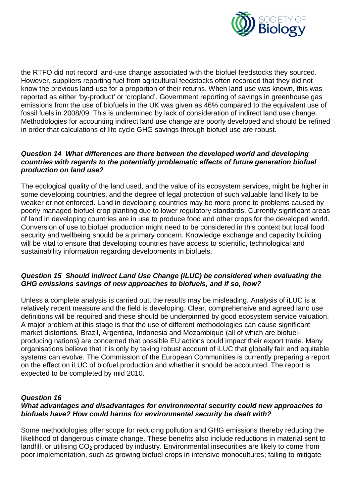

the RTFO did not record land-use change associated with the biofuel feedstocks they sourced. However, suppliers reporting fuel from agricultural feedstocks often recorded that they did not know the previous land-use for a proportion of their returns. When land use was known, this was reported as either 'by-product' or 'cropland'. Government reporting of savings in greenhouse gas emissions from the use of biofuels in the UK was given as 46% compared to the equivalent use of fossil fuels in 2008/09. This is undermined by lack of consideration of indirect land use change. Methodologies for accounting indirect land use change are poorly developed and should be refined in order that calculations of life cycle GHG savings through biofuel use are robust.

#### *Question 14 What differences are there between the developed world and developing countries with regards to the potentially problematic effects of future generation biofuel production on land use?*

The ecological quality of the land used, and the value of its ecosystem services, might be higher in some developing countries, and the degree of legal protection of such valuable land likely to be weaker or not enforced. Land in developing countries may be more prone to problems caused by poorly managed biofuel crop planting due to lower regulatory standards. Currently significant areas of land in developing countries are in use to produce food and other crops for the developed world. Conversion of use to biofuel production might need to be considered in this context but local food security and wellbeing should be a primary concern. Knowledge exchange and capacity building will be vital to ensure that developing countries have access to scientific, technological and sustainability information regarding developments in biofuels.

### *Question 15 Should indirect Land Use Change (iLUC) be considered when evaluating the GHG emissions savings of new approaches to biofuels, and if so, how?*

Unless a complete analysis is carried out, the results may be misleading. Analysis of iLUC is a relatively recent measure and the field is developing. Clear, comprehensive and agreed land use definitions will be required and these should be underpinned by good ecosystem service valuation. A major problem at this stage is that the use of different methodologies can cause significant market distortions. Brazil, Argentina, Indonesia and Mozambique (all of which are biofuelproducing nations) are concerned that possible EU actions could impact their export trade. Many organisations believe that it is only by taking robust account of iLUC that globally fair and equitable systems can evolve. The Commission of the European Communities is currently preparing a report on the effect on iLUC of biofuel production and whether it should be accounted. The report is expected to be completed by mid 2010.

### *Question 16*

### *What advantages and disadvantages for environmental security could new approaches to biofuels have? How could harms for environmental security be dealt with?*

Some methodologies offer scope for reducing pollution and GHG emissions thereby reducing the likelihood of dangerous climate change. These benefits also include reductions in material sent to landfill, or utilising  $CO<sub>2</sub>$  produced by industry. Environmental insecurities are likely to come from poor implementation, such as growing biofuel crops in intensive monocultures; failing to mitigate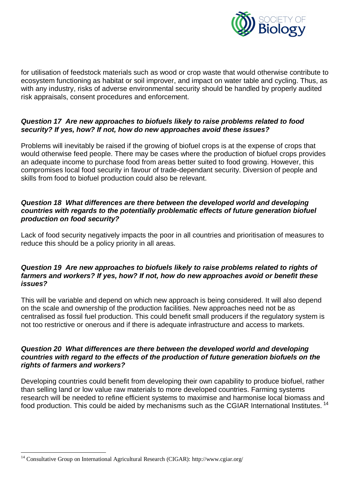

for utilisation of feedstock materials such as wood or crop waste that would otherwise contribute to ecosystem functioning as habitat or soil improver, and impact on water table and cycling. Thus, as with any industry, risks of adverse environmental security should be handled by properly audited risk appraisals, consent procedures and enforcement.

# *Question 17 Are new approaches to biofuels likely to raise problems related to food security? If yes, how? If not, how do new approaches avoid these issues?*

Problems will inevitably be raised if the growing of biofuel crops is at the expense of crops that would otherwise feed people. There may be cases where the production of biofuel crops provides an adequate income to purchase food from areas better suited to food growing. However, this compromises local food security in favour of trade-dependant security. Diversion of people and skills from food to biofuel production could also be relevant.

# *Question 18 What differences are there between the developed world and developing countries with regards to the potentially problematic effects of future generation biofuel production on food security?*

Lack of food security negatively impacts the poor in all countries and prioritisation of measures to reduce this should be a policy priority in all areas.

# *Question 19 Are new approaches to biofuels likely to raise problems related to rights of farmers and workers? If yes, how? If not, how do new approaches avoid or benefit these issues?*

This will be variable and depend on which new approach is being considered. It will also depend on the scale and ownership of the production facilities. New approaches need not be as centralised as fossil fuel production. This could benefit small producers if the regulatory system is not too restrictive or onerous and if there is adequate infrastructure and access to markets.

# *Question 20 What differences are there between the developed world and developing countries with regard to the effects of the production of future generation biofuels on the rights of farmers and workers?*

Developing countries could benefit from developing their own capability to produce biofuel, rather than selling land or low value raw materials to more developed countries. Farming systems research will be needed to refine efficient systems to maximise and harmonise local biomass and food production. This could be aided by mechanisms such as the CGIAR International Institutes. <sup>14</sup>

 $\overline{a}$ <sup>14</sup> Consultative Group on International Agricultural Research (CIGAR): http://www.cgiar.org/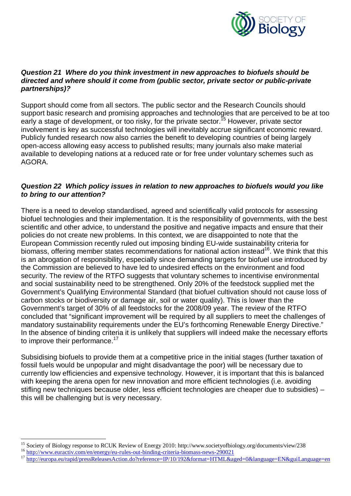

#### *Question 21 Where do you think investment in new approaches to biofuels should be directed and where should it come from (public sector, private sector or public-private partnerships)?*

Support should come from all sectors. The public sector and the Research Councils should support basic research and promising approaches and technologies that are perceived to be at too early a stage of development, or too risky, for the private sector.<sup>15</sup> However, private sector involvement is key as successful technologies will inevitably accrue significant economic reward. Publicly funded research now also carries the benefit to developing countries of being largely open-access allowing easy access to published results; many journals also make material available to developing nations at a reduced rate or for free under voluntary schemes such as AGORA.

# *Question 22 Which policy issues in relation to new approaches to biofuels would you like to bring to our attention?*

There is a need to develop standardised, agreed and scientifically valid protocols for assessing biofuel technologies and their implementation. It is the responsibility of governments, with the best scientific and other advice, to understand the positive and negative impacts and ensure that their policies do not create new problems. In this context, we are disappointed to note that the European Commission recently ruled out imposing binding EU-wide sustainability criteria for biomass, offering member states recommendations for national action instead<sup>16</sup>. We think that this is an abrogation of responsibility, especially since demanding targets for biofuel use introduced by the Commission are believed to have led to undesired effects on the environment and food security. The review of the RTFO suggests that voluntary schemes to incentivise environmental and social sustainability need to be strengthened. Only 20% of the feedstock supplied met the Government's Qualifying Environmental Standard (that biofuel cultivation should not cause loss of carbon stocks or biodiversity or damage air, soil or water quality). This is lower than the Government's target of 30% of all feedstocks for the 2008/09 year. The review of the RTFO concluded that "significant improvement will be required by all suppliers to meet the challenges of mandatory sustainability requirements under the EU's forthcoming Renewable Energy Directive." In the absence of binding criteria it is unlikely that suppliers will indeed make the necessary efforts to improve their performance.<sup>17</sup>

Subsidising biofuels to provide them at a competitive price in the initial stages (further taxation of fossil fuels would be unpopular and might disadvantage the poor) will be necessary due to currently low efficiencies and expensive technology. However, it is important that this is balanced with keeping the arena open for new innovation and more efficient technologies (i.e. avoiding stifling new techniques because older, less efficient technologies are cheaper due to subsidies) – this will be challenging but is very necessary.

 $\overline{a}$ <sup>15</sup> Society of Biology response to RCUK Review of Energy 2010: http://www.societyofbiology.org/documents/view/238

<sup>&</sup>lt;sup>16</sup> http://www.euractiv.com/en/energy/eu-rules-out-binding-criteria-biomass-news-290021

<sup>&</sup>lt;sup>17</sup> http://europa.eu/rapid/pressReleasesAction.do?reference=IP/10/192&format=HTML&aged=0&language=EN&guiLanguage=en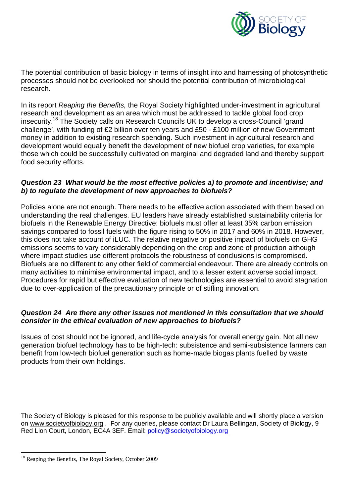

The potential contribution of basic biology in terms of insight into and harnessing of photosynthetic processes should not be overlooked nor should the potential contribution of microbiological research.

In its report *Reaping the Benefits,* the Royal Society highlighted under-investment in agricultural research and development as an area which must be addressed to tackle global food crop insecurity.<sup>18</sup> The Society calls on Research Councils UK to develop a cross-Council 'grand challenge', with funding of £2 billion over ten years and £50 - £100 million of new Government money in addition to existing research spending. Such investment in agricultural research and development would equally benefit the development of new biofuel crop varieties, for example those which could be successfully cultivated on marginal and degraded land and thereby support food security efforts.

#### *Question 23 What would be the most effective policies a) to promote and incentivise; and b) to regulate the development of new approaches to biofuels?*

Policies alone are not enough. There needs to be effective action associated with them based on understanding the real challenges. EU leaders have already established sustainability criteria for biofuels in the Renewable Energy Directive: biofuels must offer at least 35% carbon emission savings compared to fossil fuels with the figure rising to 50% in 2017 and 60% in 2018. However, this does not take account of iLUC. The relative negative or positive impact of biofuels on GHG emissions seems to vary considerably depending on the crop and zone of production although where impact studies use different protocols the robustness of conclusions is compromised. Biofuels are no different to any other field of commercial endeavour. There are already controls on many activities to minimise environmental impact, and to a lesser extent adverse social impact. Procedures for rapid but effective evaluation of new technologies are essential to avoid stagnation due to over-application of the precautionary principle or of stifling innovation.

### *Question 24 Are there any other issues not mentioned in this consultation that we should consider in the ethical evaluation of new approaches to biofuels?*

Issues of cost should not be ignored, and life-cycle analysis for overall energy gain. Not all new generation biofuel technology has to be high-tech: subsistence and semi-subsistence farmers can benefit from low-tech biofuel generation such as home-made biogas plants fuelled by waste products from their own holdings.

The Society of Biology is pleased for this response to be publicly available and will shortly place a version on www.societyofbiology.org . For any queries, please contact Dr Laura Bellingan, Society of Biology, 9 Red Lion Court, London, EC4A 3EF. Email: policy@societyofbiology.org

 $\overline{a}$ <sup>18</sup> Reaping the Benefits, The Royal Society, October 2009